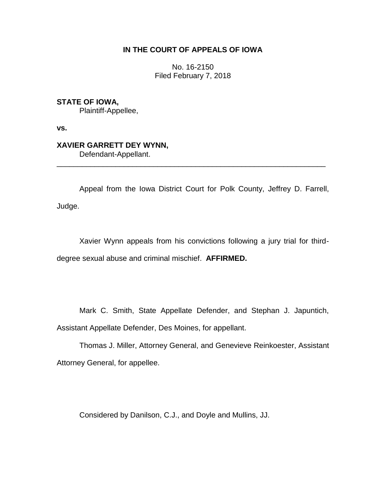# **IN THE COURT OF APPEALS OF IOWA**

No. 16-2150 Filed February 7, 2018

**STATE OF IOWA,** Plaintiff-Appellee,

**vs.**

## **XAVIER GARRETT DEY WYNN,** Defendant-Appellant.

Appeal from the Iowa District Court for Polk County, Jeffrey D. Farrell, Judge.

\_\_\_\_\_\_\_\_\_\_\_\_\_\_\_\_\_\_\_\_\_\_\_\_\_\_\_\_\_\_\_\_\_\_\_\_\_\_\_\_\_\_\_\_\_\_\_\_\_\_\_\_\_\_\_\_\_\_\_\_\_\_\_\_

Xavier Wynn appeals from his convictions following a jury trial for thirddegree sexual abuse and criminal mischief. **AFFIRMED.**

Mark C. Smith, State Appellate Defender, and Stephan J. Japuntich, Assistant Appellate Defender, Des Moines, for appellant.

Thomas J. Miller, Attorney General, and Genevieve Reinkoester, Assistant Attorney General, for appellee.

Considered by Danilson, C.J., and Doyle and Mullins, JJ.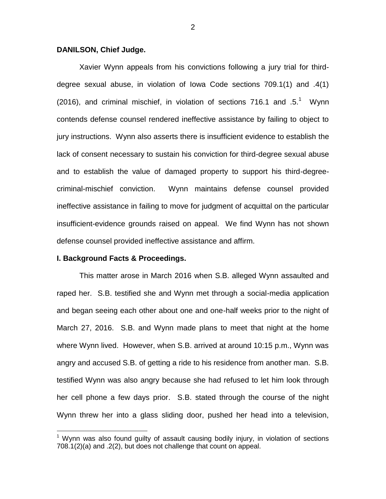### **DANILSON, Chief Judge.**

Xavier Wynn appeals from his convictions following a jury trial for thirddegree sexual abuse, in violation of Iowa Code sections 709.1(1) and .4(1) (2016), and criminal mischief, in violation of sections 716.1 and  $.5.^1$  Wynn contends defense counsel rendered ineffective assistance by failing to object to jury instructions. Wynn also asserts there is insufficient evidence to establish the lack of consent necessary to sustain his conviction for third-degree sexual abuse and to establish the value of damaged property to support his third-degreecriminal-mischief conviction. Wynn maintains defense counsel provided ineffective assistance in failing to move for judgment of acquittal on the particular insufficient-evidence grounds raised on appeal. We find Wynn has not shown defense counsel provided ineffective assistance and affirm.

#### **I. Background Facts & Proceedings.**

 $\overline{a}$ 

This matter arose in March 2016 when S.B. alleged Wynn assaulted and raped her. S.B. testified she and Wynn met through a social-media application and began seeing each other about one and one-half weeks prior to the night of March 27, 2016. S.B. and Wynn made plans to meet that night at the home where Wynn lived. However, when S.B. arrived at around 10:15 p.m., Wynn was angry and accused S.B. of getting a ride to his residence from another man. S.B. testified Wynn was also angry because she had refused to let him look through her cell phone a few days prior. S.B. stated through the course of the night Wynn threw her into a glass sliding door, pushed her head into a television,

 $1$  Wynn was also found quilty of assault causing bodily injury, in violation of sections 708.1(2)(a) and .2(2), but does not challenge that count on appeal.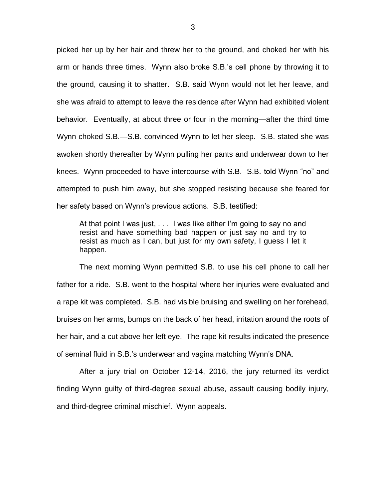picked her up by her hair and threw her to the ground, and choked her with his arm or hands three times. Wynn also broke S.B.'s cell phone by throwing it to the ground, causing it to shatter. S.B. said Wynn would not let her leave, and she was afraid to attempt to leave the residence after Wynn had exhibited violent behavior. Eventually, at about three or four in the morning—after the third time Wynn choked S.B.—S.B. convinced Wynn to let her sleep. S.B. stated she was awoken shortly thereafter by Wynn pulling her pants and underwear down to her knees. Wynn proceeded to have intercourse with S.B. S.B. told Wynn "no" and attempted to push him away, but she stopped resisting because she feared for her safety based on Wynn's previous actions. S.B. testified:

At that point I was just, . . . I was like either I'm going to say no and resist and have something bad happen or just say no and try to resist as much as I can, but just for my own safety, I guess I let it happen.

The next morning Wynn permitted S.B. to use his cell phone to call her father for a ride. S.B. went to the hospital where her injuries were evaluated and a rape kit was completed. S.B. had visible bruising and swelling on her forehead, bruises on her arms, bumps on the back of her head, irritation around the roots of her hair, and a cut above her left eye. The rape kit results indicated the presence of seminal fluid in S.B.'s underwear and vagina matching Wynn's DNA.

After a jury trial on October 12-14, 2016, the jury returned its verdict finding Wynn guilty of third-degree sexual abuse, assault causing bodily injury, and third-degree criminal mischief. Wynn appeals.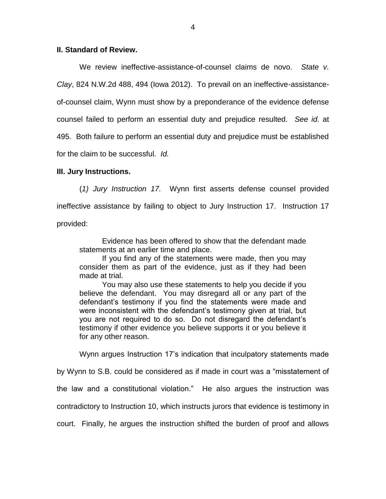### **II. Standard of Review.**

We review ineffective-assistance-of-counsel claims de novo. *State v. Clay*, 824 N.W.2d 488, 494 (Iowa 2012). To prevail on an ineffective-assistanceof-counsel claim, Wynn must show by a preponderance of the evidence defense counsel failed to perform an essential duty and prejudice resulted. *See id.* at 495. Both failure to perform an essential duty and prejudice must be established for the claim to be successful. *Id.*

## **III. Jury Instructions.**

(*1) Jury Instruction 17.* Wynn first asserts defense counsel provided ineffective assistance by failing to object to Jury Instruction 17. Instruction 17 provided:

Evidence has been offered to show that the defendant made statements at an earlier time and place.

If you find any of the statements were made, then you may consider them as part of the evidence, just as if they had been made at trial.

You may also use these statements to help you decide if you believe the defendant. You may disregard all or any part of the defendant's testimony if you find the statements were made and were inconsistent with the defendant's testimony given at trial, but you are not required to do so. Do not disregard the defendant's testimony if other evidence you believe supports it or you believe it for any other reason.

Wynn argues Instruction 17's indication that inculpatory statements made

by Wynn to S.B. could be considered as if made in court was a "misstatement of the law and a constitutional violation." He also argues the instruction was contradictory to Instruction 10, which instructs jurors that evidence is testimony in court. Finally, he argues the instruction shifted the burden of proof and allows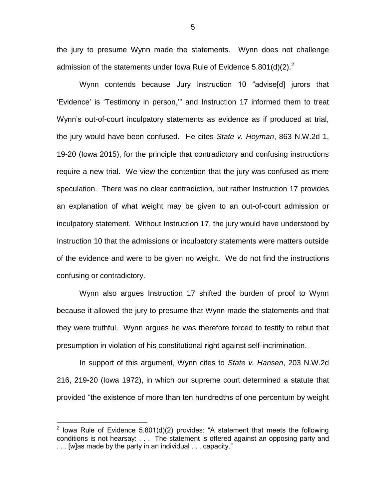the jury to presume Wynn made the statements. Wynn does not challenge admission of the statements under Iowa Rule of Evidence 5.801(d)(2).<sup>2</sup>

Wynn contends because Jury Instruction 10 "advise[d] jurors that 'Evidence' is 'Testimony in person,'" and Instruction 17 informed them to treat Wynn's out-of-court inculpatory statements as evidence as if produced at trial, the jury would have been confused. He cites *State v. Hoyman*, 863 N.W.2d 1, 19-20 (Iowa 2015), for the principle that contradictory and confusing instructions require a new trial. We view the contention that the jury was confused as mere speculation. There was no clear contradiction, but rather Instruction 17 provides an explanation of what weight may be given to an out-of-court admission or inculpatory statement. Without Instruction 17, the jury would have understood by Instruction 10 that the admissions or inculpatory statements were matters outside of the evidence and were to be given no weight. We do not find the instructions confusing or contradictory.

Wynn also argues Instruction 17 shifted the burden of proof to Wynn because it allowed the jury to presume that Wynn made the statements and that they were truthful. Wynn argues he was therefore forced to testify to rebut that presumption in violation of his constitutional right against self-incrimination.

In support of this argument, Wynn cites to *State v. Hansen*, 203 N.W.2d 216, 219-20 (Iowa 1972), in which our supreme court determined a statute that provided "the existence of more than ten hundredths of one percentum by weight

 $\overline{a}$ 

<sup>&</sup>lt;sup>2</sup> lowa Rule of Evidence 5.801(d)(2) provides: "A statement that meets the following conditions is not hearsay: . . . The statement is offered against an opposing party and . . . [w]as made by the party in an individual . . . capacity."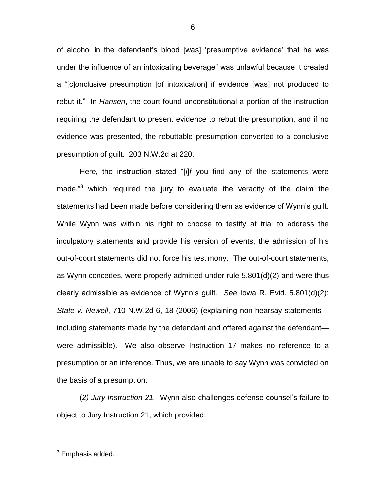of alcohol in the defendant's blood [was] 'presumptive evidence' that he was under the influence of an intoxicating beverage" was unlawful because it created a "[c]onclusive presumption [of intoxication] if evidence [was] not produced to rebut it." In *Hansen*, the court found unconstitutional a portion of the instruction requiring the defendant to present evidence to rebut the presumption, and if no evidence was presented, the rebuttable presumption converted to a conclusive presumption of guilt. 203 N.W.2d at 220.

Here, the instruction stated "[*i*]*f* you find any of the statements were made,"<sup>3</sup> which required the jury to evaluate the veracity of the claim the statements had been made before considering them as evidence of Wynn's guilt. While Wynn was within his right to choose to testify at trial to address the inculpatory statements and provide his version of events, the admission of his out-of-court statements did not force his testimony. The out-of-court statements, as Wynn concedes, were properly admitted under rule 5.801(d)(2) and were thus clearly admissible as evidence of Wynn's guilt. *See* Iowa R. Evid. 5.801(d)(2); *State v. Newell*, 710 N.W.2d 6, 18 (2006) (explaining non-hearsay statements including statements made by the defendant and offered against the defendant were admissible). We also observe Instruction 17 makes no reference to a presumption or an inference. Thus, we are unable to say Wynn was convicted on the basis of a presumption.

(*2) Jury Instruction 21.* Wynn also challenges defense counsel's failure to object to Jury Instruction 21, which provided:

6

 $\overline{a}$ 

<sup>&</sup>lt;sup>3</sup> Emphasis added.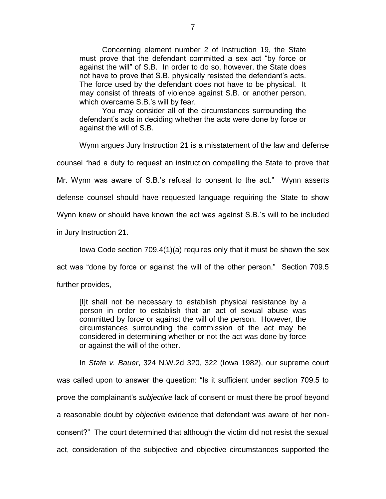Concerning element number 2 of Instruction 19, the State must prove that the defendant committed a sex act "by force or against the will" of S.B. In order to do so, however, the State does not have to prove that S.B. physically resisted the defendant's acts. The force used by the defendant does not have to be physical. It may consist of threats of violence against S.B. or another person, which overcame S.B.'s will by fear.

You may consider all of the circumstances surrounding the defendant's acts in deciding whether the acts were done by force or against the will of S.B.

Wynn argues Jury Instruction 21 is a misstatement of the law and defense

counsel "had a duty to request an instruction compelling the State to prove that

Mr. Wynn was aware of S.B.'s refusal to consent to the act." Wynn asserts

defense counsel should have requested language requiring the State to show

Wynn knew or should have known the act was against S.B.'s will to be included

in Jury Instruction 21.

Iowa Code section 709.4(1)(a) requires only that it must be shown the sex

act was "done by force or against the will of the other person." Section 709.5

further provides,

[I]t shall not be necessary to establish physical resistance by a person in order to establish that an act of sexual abuse was committed by force or against the will of the person. However, the circumstances surrounding the commission of the act may be considered in determining whether or not the act was done by force or against the will of the other.

In *State v. Bauer*, 324 N.W.2d 320, 322 (Iowa 1982), our supreme court was called upon to answer the question: "Is it sufficient under section 709.5 to prove the complainant's *subjective* lack of consent or must there be proof beyond a reasonable doubt by *objective* evidence that defendant was aware of her nonconsent?" The court determined that although the victim did not resist the sexual act, consideration of the subjective and objective circumstances supported the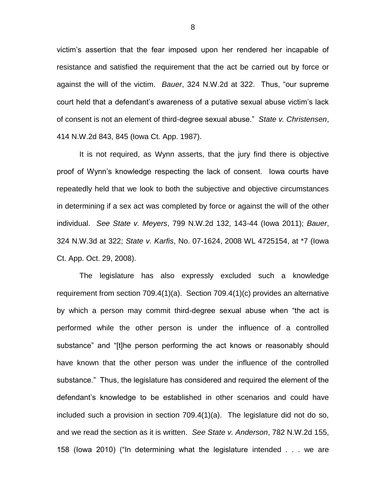victim's assertion that the fear imposed upon her rendered her incapable of resistance and satisfied the requirement that the act be carried out by force or against the will of the victim. *Bauer*, 324 N.W.2d at 322. Thus, "our supreme court held that a defendant's awareness of a putative sexual abuse victim's lack of consent is not an element of third-degree sexual abuse." *State v. Christensen*, 414 N.W.2d 843, 845 (Iowa Ct. App. 1987).

It is not required, as Wynn asserts, that the jury find there is objective proof of Wynn's knowledge respecting the lack of consent. Iowa courts have repeatedly held that we look to both the subjective and objective circumstances in determining if a sex act was completed by force or against the will of the other individual. *See State v. Meyers*, 799 N.W.2d 132, 143-44 (Iowa 2011); *Bauer*, 324 N.W.3d at 322; *State v. Karfis*, No. 07-1624, 2008 WL 4725154, at \*7 (Iowa Ct. App. Oct. 29, 2008).

The legislature has also expressly excluded such a knowledge requirement from section 709.4(1)(a). Section 709.4(1)(c) provides an alternative by which a person may commit third-degree sexual abuse when "the act is performed while the other person is under the influence of a controlled substance" and "[t]he person performing the act knows or reasonably should have known that the other person was under the influence of the controlled substance." Thus, the legislature has considered and required the element of the defendant's knowledge to be established in other scenarios and could have included such a provision in section 709.4(1)(a). The legislature did not do so, and we read the section as it is written. *See State v. Anderson*, 782 N.W.2d 155, 158 (Iowa 2010) ("In determining what the legislature intended . . . we are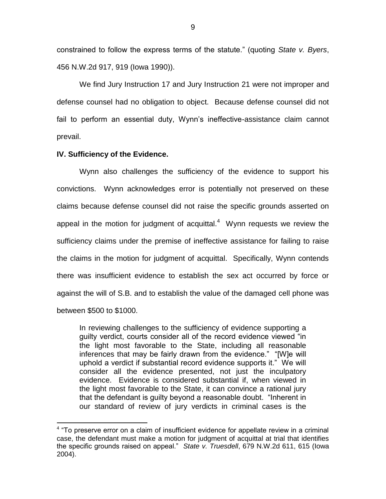constrained to follow the express terms of the statute." (quoting *State v. Byers*, 456 N.W.2d 917, 919 (Iowa 1990)).

We find Jury Instruction 17 and Jury Instruction 21 were not improper and defense counsel had no obligation to object. Because defense counsel did not fail to perform an essential duty, Wynn's ineffective-assistance claim cannot prevail.

### **IV. Sufficiency of the Evidence.**

 $\overline{a}$ 

Wynn also challenges the sufficiency of the evidence to support his convictions. Wynn acknowledges error is potentially not preserved on these claims because defense counsel did not raise the specific grounds asserted on appeal in the motion for judgment of acquittal. $4$  Wynn requests we review the sufficiency claims under the premise of ineffective assistance for failing to raise the claims in the motion for judgment of acquittal. Specifically, Wynn contends there was insufficient evidence to establish the sex act occurred by force or against the will of S.B. and to establish the value of the damaged cell phone was between \$500 to \$1000.

In reviewing challenges to the sufficiency of evidence supporting a guilty verdict, courts consider all of the record evidence viewed "in the light most favorable to the State, including all reasonable inferences that may be fairly drawn from the evidence." "[W]e will uphold a verdict if substantial record evidence supports it." We will consider all the evidence presented, not just the inculpatory evidence. Evidence is considered substantial if, when viewed in the light most favorable to the State, it can convince a rational jury that the defendant is guilty beyond a reasonable doubt. "Inherent in our standard of review of jury verdicts in criminal cases is the

<sup>&</sup>lt;sup>4</sup> "To preserve error on a claim of insufficient evidence for appellate review in a criminal case, the defendant must make a motion for judgment of acquittal at trial that identifies the specific grounds raised on appeal." *State v. Truesdell*, 679 N.W.2d 611, 615 (Iowa 2004).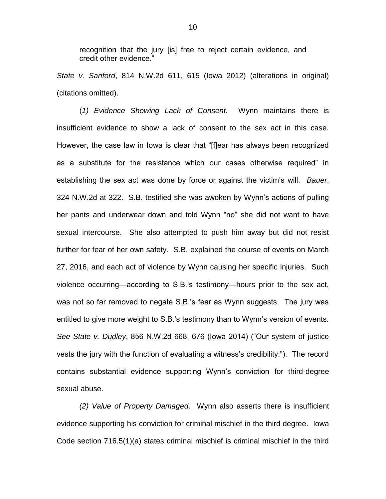recognition that the jury [is] free to reject certain evidence, and credit other evidence."

*State v. Sanford*, 814 N.W.2d 611, 615 (Iowa 2012) (alterations in original) (citations omitted).

(*1) Evidence Showing Lack of Consent.* Wynn maintains there is insufficient evidence to show a lack of consent to the sex act in this case. However, the case law in Iowa is clear that "[f]ear has always been recognized as a substitute for the resistance which our cases otherwise required" in establishing the sex act was done by force or against the victim's will. *Bauer*, 324 N.W.2d at 322. S.B. testified she was awoken by Wynn's actions of pulling her pants and underwear down and told Wynn "no" she did not want to have sexual intercourse. She also attempted to push him away but did not resist further for fear of her own safety. S.B. explained the course of events on March 27, 2016, and each act of violence by Wynn causing her specific injuries. Such violence occurring—according to S.B.'s testimony—hours prior to the sex act, was not so far removed to negate S.B.'s fear as Wynn suggests. The jury was entitled to give more weight to S.B.'s testimony than to Wynn's version of events. *See State v. Dudley*, 856 N.W.2d 668, 676 (Iowa 2014) ("Our system of justice vests the jury with the function of evaluating a witness's credibility."). The record contains substantial evidence supporting Wynn's conviction for third-degree sexual abuse.

*(2) Value of Property Damaged.* Wynn also asserts there is insufficient evidence supporting his conviction for criminal mischief in the third degree. Iowa Code section 716.5(1)(a) states criminal mischief is criminal mischief in the third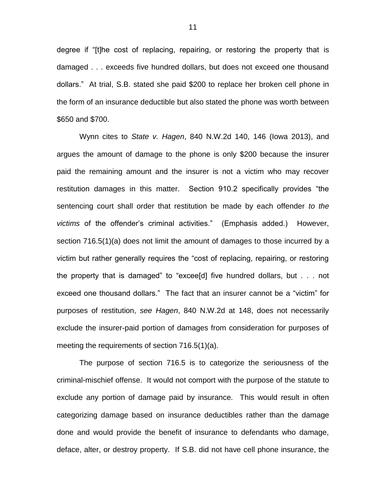degree if "[t]he cost of replacing, repairing, or restoring the property that is damaged . . . exceeds five hundred dollars, but does not exceed one thousand dollars." At trial, S.B. stated she paid \$200 to replace her broken cell phone in the form of an insurance deductible but also stated the phone was worth between \$650 and \$700.

Wynn cites to *State v. Hagen*, 840 N.W.2d 140, 146 (Iowa 2013), and argues the amount of damage to the phone is only \$200 because the insurer paid the remaining amount and the insurer is not a victim who may recover restitution damages in this matter. Section 910.2 specifically provides "the sentencing court shall order that restitution be made by each offender *to the victims* of the offender's criminal activities." (Emphasis added.) However, section 716.5(1)(a) does not limit the amount of damages to those incurred by a victim but rather generally requires the "cost of replacing, repairing, or restoring the property that is damaged" to "excee[d] five hundred dollars, but . . . not exceed one thousand dollars." The fact that an insurer cannot be a "victim" for purposes of restitution, *see Hagen*, 840 N.W.2d at 148, does not necessarily exclude the insurer-paid portion of damages from consideration for purposes of meeting the requirements of section 716.5(1)(a).

The purpose of section 716.5 is to categorize the seriousness of the criminal-mischief offense. It would not comport with the purpose of the statute to exclude any portion of damage paid by insurance. This would result in often categorizing damage based on insurance deductibles rather than the damage done and would provide the benefit of insurance to defendants who damage, deface, alter, or destroy property. If S.B. did not have cell phone insurance, the